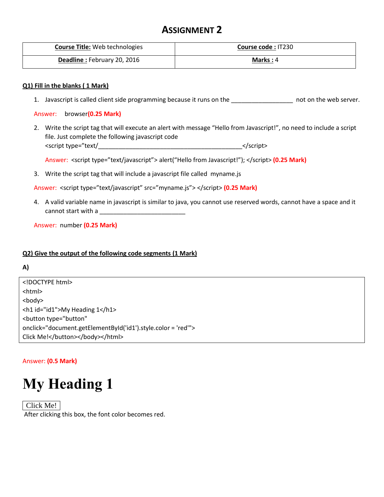# **ASSIGNMENT 2**

| <b>Course Title: Web technologies</b> | Course code: IT230 |
|---------------------------------------|--------------------|
| <b>Deadline: February 20, 2016</b>    | Marks: $4$         |

## **Q1) Fill in the blanks ( 1 Mark)**

1. Javascript is called client side programming because it runs on the \_\_\_\_\_\_\_\_\_\_\_\_\_\_\_\_\_\_ not on the web server.

### Answer: browser**(0.25 Mark)**

2. Write the script tag that will execute an alert with message "Hello from Javascript!", no need to include a script file. Just complete the following javascript code <script type="text/\_\_\_\_\_\_\_\_\_\_\_\_\_\_\_\_\_\_\_\_\_\_\_\_\_\_\_\_\_\_\_\_\_\_\_\_\_\_\_\_\_\_</script>

Answer: <script type="text/javascript"> alert("Hello from Javascript!"); </script> (0.25 Mark)

3. Write the script tag that will include a javascript file called myname.js

Answer: <script type="text/javascript" src="myname.js"> </script> **(0.25 Mark)**

4. A valid variable name in javascript is similar to java, you cannot use reserved words, cannot have a space and it cannot start with a

Answer: number **(0.25 Mark)**

### **Q2) Give the output of the following code segments (1 Mark)**

### **A)**

<!DOCTYPE html> <html> <body> <h1 id="id1">My Heading 1</h1> <button type="button" onclick="document.getElementById('id1').style.color = 'red'"> Click Me!</button></body></html>

### Answer: **(0.5 Mark)**

# **My Heading 1**

Click Me! After clicking this box, the font color becomes red.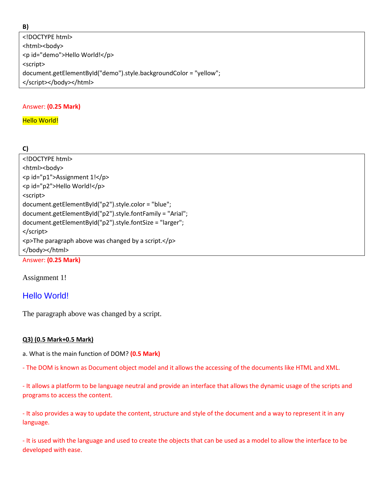#### **B)**

<!DOCTYPE html> <html><body> <p id="demo">Hello World!</p> <script> document.getElementById("demo").style.backgroundColor = "yellow"; </script></body></html>

# Answer: **(0.25 Mark)**

# **Hello World!**

# **C)**

| <html><body></body></html>   |
|------------------------------|
| <p id="p1">Assignment 1!</p> |
|                              |
| <p id="p2">Hello World!</p>  |
| <script></script>            |

Answer: **(0.25 Mark)**

Assignment 1!

# Hello World!

The paragraph above was changed by a script.

# **Q3) (0.5 Mark+0.5 Mark)**

a. What is the main function of DOM? **(0.5 Mark)**

- The DOM is known as Document object model and it allows the accessing of the documents like HTML and XML.

- It allows a platform to be language neutral and provide an interface that allows the dynamic usage of the scripts and programs to access the content.

- It also provides a way to update the content, structure and style of the document and a way to represent it in any language.

- It is used with the language and used to create the objects that can be used as a model to allow the interface to be developed with ease.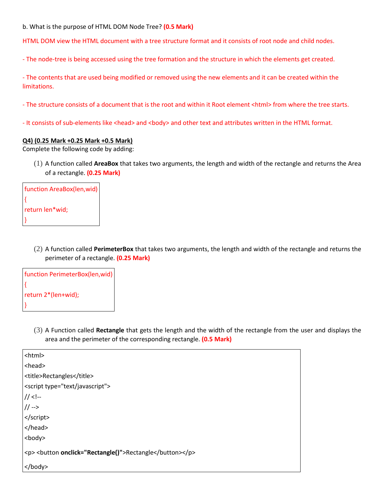b. What is the purpose of HTML DOM Node Tree? **(0.5 Mark)**

HTML DOM view the HTML document with a tree structure format and it consists of root node and child nodes.

- The node-tree is being accessed using the tree formation and the structure in which the elements get created.

- The contents that are used being modified or removed using the new elements and it can be created within the limitations.

- The structure consists of a document that is the root and within it Root element <html> from where the tree starts.

- It consists of sub-elements like <head> and <body> and other text and attributes written in the HTML format.

#### **Q4) (0.25 Mark +0.25 Mark +0.5 Mark)**

Complete the following code by adding:

(1) A function called **AreaBox** that takes two arguments, the length and width of the rectangle and returns the Area of a rectangle. **(0.25 Mark)**

| function AreaBox(len, wid) |  |
|----------------------------|--|
|                            |  |
| return len*wid;            |  |
|                            |  |

(2) A function called **PerimeterBox** that takes two arguments, the length and width of the rectangle and returns the perimeter of a rectangle. **(0.25 Mark)**

| function PerimeterBox(len, wid) |
|---------------------------------|
|                                 |
| return 2*(len+wid);             |
|                                 |

(3) A Function called **Rectangle** that gets the length and the width of the rectangle from the user and displays the area and the perimeter of the corresponding rectangle. **(0.5 Mark)**

| <html></html>                            |
|------------------------------------------|
| <head></head>                            |
| <title>Rectangles</title>                |
| <script type="text/javascript"></script> |